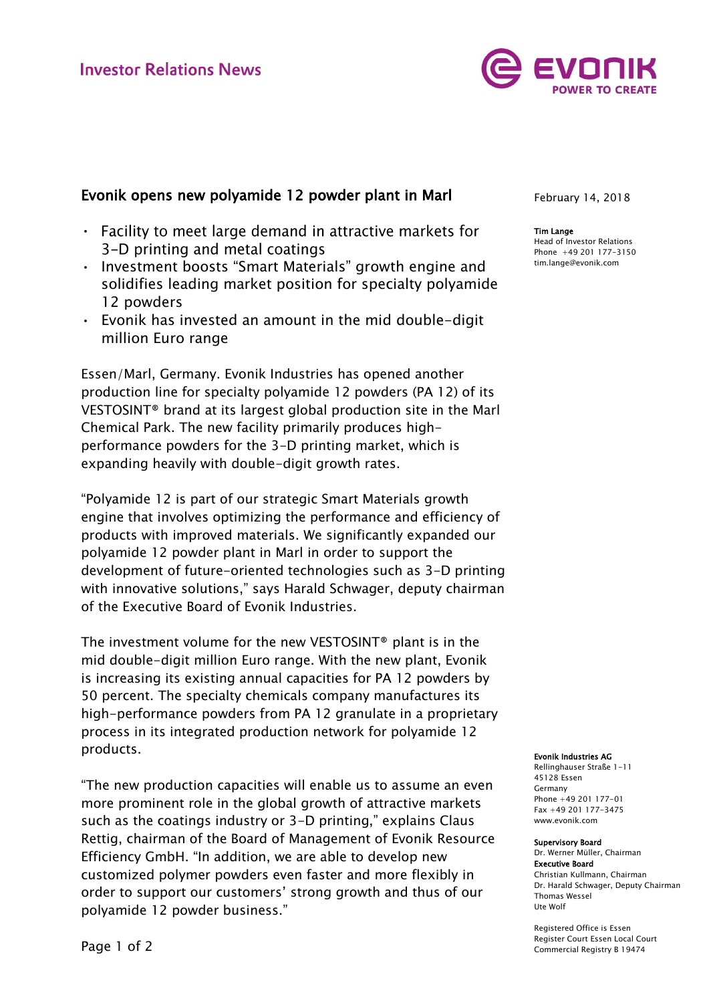

# Evonik opens new polyamide 12 powder plant in Marl

- Facility to meet large demand in attractive markets for 3-D printing and metal coatings
- Investment boosts "Smart Materials" growth engine and solidifies leading market position for specialty polyamide 12 powders
- Evonik has invested an amount in the mid double-digit million Euro range

Essen/Marl, Germany. Evonik Industries has opened another production line for specialty polyamide 12 powders (PA 12) of its VESTOSINT® brand at its largest global production site in the Marl Chemical Park. The new facility primarily produces highperformance powders for the 3-D printing market, which is expanding heavily with double-digit growth rates.

"Polyamide 12 is part of our strategic Smart Materials growth engine that involves optimizing the performance and efficiency of products with improved materials. We significantly expanded our polyamide 12 powder plant in Marl in order to support the development of future-oriented technologies such as 3-D printing with innovative solutions," says Harald Schwager, deputy chairman of the Executive Board of Evonik Industries.

The investment volume for the new VESTOSINT® plant is in the mid double-digit million Euro range. With the new plant, Evonik is increasing its existing annual capacities for PA 12 powders by 50 percent. The specialty chemicals company manufactures its high-performance powders from PA 12 granulate in a proprietary process in its integrated production network for polyamide 12 products.

"The new production capacities will enable us to assume an even more prominent role in the global growth of attractive markets such as the coatings industry or 3-D printing," explains Claus Rettig, chairman of the Board of Management of Evonik Resource Efficiency GmbH. "In addition, we are able to develop new customized polymer powders even faster and more flexibly in order to support our customers' strong growth and thus of our polyamide 12 powder business."

February 14, 2018

### Tim Lange

Head of Investor Relations Phone +49 201 177-3150 tim.lange@evonik.com

#### Evonik Industries AG

Rellinghauser Straße 1-11 45128 Essen Germany Phone +49 201 177-01 Fax +49 201 177-3475 www.evonik.com

#### Supervisory Board

Dr. Werner Müller, Chairman Executive Board Christian Kullmann, Chairman Dr. Harald Schwager, Deputy Chairman Thomas Wessel Ute Wolf

Registered Office is Essen Register Court Essen Local Court Commercial Registry B 19474